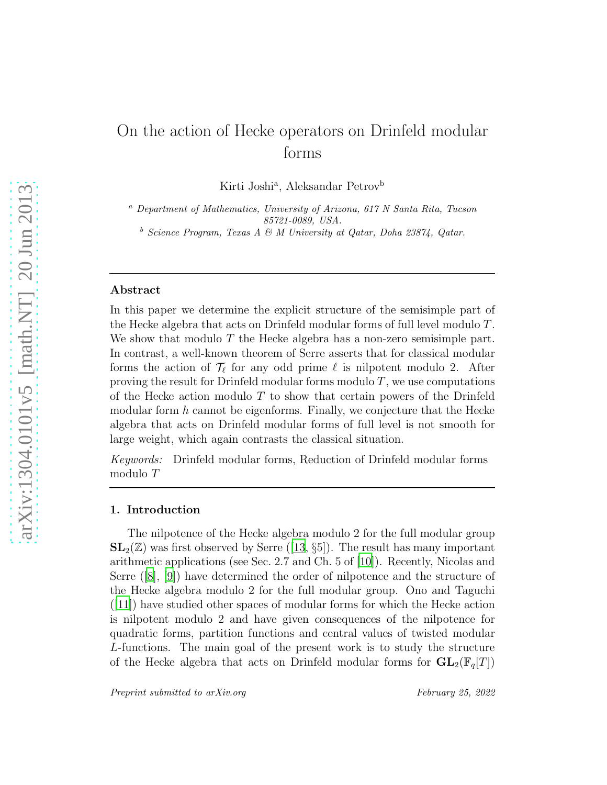# On the action of Hecke operators on Drinfeld modular forms

Kirti Joshi<sup>a</sup>, Aleksandar Petrov<sup>b</sup>

 $a<sup>a</sup>$  Department of Mathematics, University of Arizona, 617 N Santa Rita, Tucson 85721-0089, USA.

 $b$  Science Program, Texas A & M University at Qatar, Doha 23874, Qatar.

## Abstract

In this paper we determine the explicit structure of the semisimple part of the Hecke algebra that acts on Drinfeld modular forms of full level modulo T. We show that modulo T the Hecke algebra has a non-zero semisimple part. In contrast, a well-known theorem of Serre asserts that for classical modular forms the action of  $\mathcal{T}_{\ell}$  for any odd prime  $\ell$  is nilpotent modulo 2. After proving the result for Drinfeld modular forms modulo  $T$ , we use computations of the Hecke action modulo  $T$  to show that certain powers of the Drinfeld modular form  $h$  cannot be eigenforms. Finally, we conjecture that the Hecke algebra that acts on Drinfeld modular forms of full level is not smooth for large weight, which again contrasts the classical situation.

Keywords: Drinfeld modular forms, Reduction of Drinfeld modular forms modulo T

## 1. Introduction

The nilpotence of the Hecke algebra modulo 2 for the full modular group  $SL_2(\mathbb{Z})$ was first observed by Serre ([\[13](#page-16-0), §5]). The result has many important arithmetic applications (see Sec. 2.7 and Ch. 5 of [\[10\]](#page-16-1)). Recently, Nicolas and Serre([\[8\]](#page-15-0), [\[9](#page-15-1)]) have determined the order of nilpotence and the structure of the Hecke algebra modulo 2 for the full modular group. Ono and Taguchi  $([11])$  $([11])$  $([11])$  have studied other spaces of modular forms for which the Hecke action is nilpotent modulo 2 and have given consequences of the nilpotence for quadratic forms, partition functions and central values of twisted modular L-functions. The main goal of the present work is to study the structure of the Hecke algebra that acts on Drinfeld modular forms for  $GL_2(\mathbb{F}_q[T])$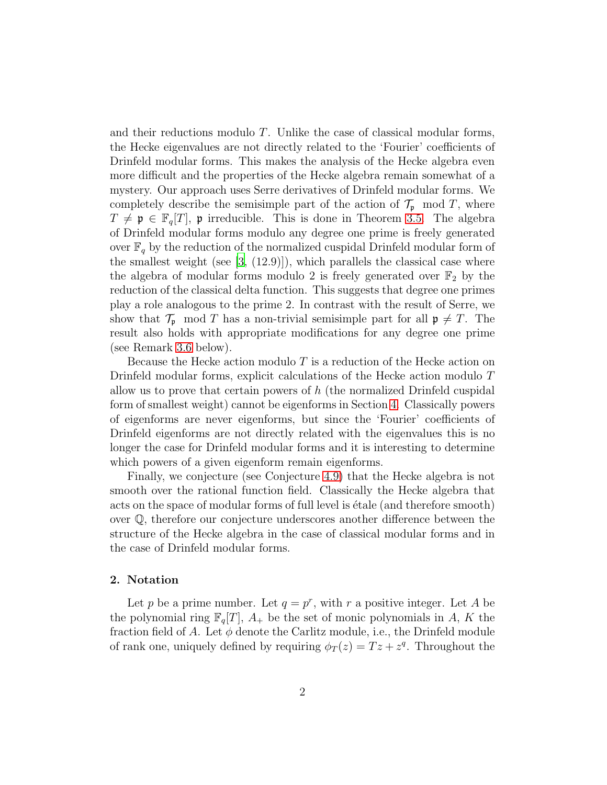and their reductions modulo T. Unlike the case of classical modular forms, the Hecke eigenvalues are not directly related to the 'Fourier' coefficients of Drinfeld modular forms. This makes the analysis of the Hecke algebra even more difficult and the properties of the Hecke algebra remain somewhat of a mystery. Our approach uses Serre derivatives of Drinfeld modular forms. We completely describe the semisimple part of the action of  $\mathcal{T}_{p}$  mod T, where  $T \neq \mathfrak{p} \in \mathbb{F}_q[T], \mathfrak{p}$  irreducible. This is done in Theorem [3.5.](#page-8-0) The algebra of Drinfeld modular forms modulo any degree one prime is freely generated over  $\mathbb{F}_q$  by the reduction of the normalized cuspidal Drinfeld modular form of the smallest weight (see  $[3, (12.9)]$ ), which parallels the classical case where the algebra of modular forms modulo 2 is freely generated over  $\mathbb{F}_2$  by the reduction of the classical delta function. This suggests that degree one primes play a role analogous to the prime 2. In contrast with the result of Serre, we show that  $\mathcal{T}_{\mathfrak{p}}$  mod T has a non-trivial semisimple part for all  $\mathfrak{p} \neq T$ . The result also holds with appropriate modifications for any degree one prime (see Remark [3.6](#page-9-0) below).

Because the Hecke action modulo  $T$  is a reduction of the Hecke action on Drinfeld modular forms, explicit calculations of the Hecke action modulo T allow us to prove that certain powers of  $h$  (the normalized Drinfeld cuspidal form of smallest weight) cannot be eigenforms in Section [4.](#page-9-1) Classically powers of eigenforms are never eigenforms, but since the 'Fourier' coefficients of Drinfeld eigenforms are not directly related with the eigenvalues this is no longer the case for Drinfeld modular forms and it is interesting to determine which powers of a given eigenform remain eigenforms.

Finally, we conjecture (see Conjecture [4.9\)](#page-14-0) that the Hecke algebra is not smooth over the rational function field. Classically the Hecke algebra that acts on the space of modular forms of full level is étale (and therefore smooth) over Q, therefore our conjecture underscores another difference between the structure of the Hecke algebra in the case of classical modular forms and in the case of Drinfeld modular forms.

## 2. Notation

Let p be a prime number. Let  $q = p^r$ , with r a positive integer. Let A be the polynomial ring  $\mathbb{F}_q[T], A_+$  be the set of monic polynomials in A, K the fraction field of A. Let  $\phi$  denote the Carlitz module, i.e., the Drinfeld module of rank one, uniquely defined by requiring  $\phi_T(z) = Tz + z^q$ . Throughout the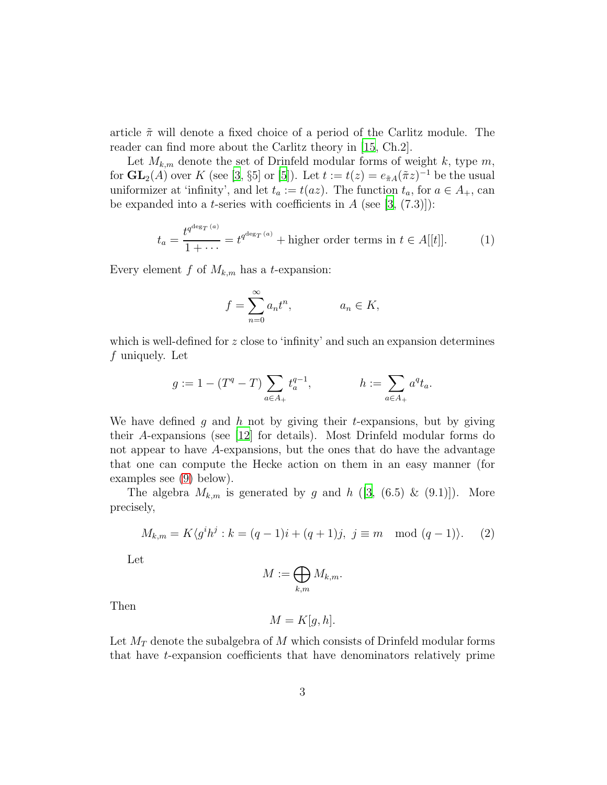article  $\tilde{\pi}$  will denote a fixed choice of a period of the Carlitz module. The reader can find more about the Carlitz theory in [\[15,](#page-16-3) Ch.2].

Let  $M_{k,m}$  denote the set of Drinfeld modular forms of weight k, type m, for  $\mathbf{GL}_2(A)$  over K (see [\[3,](#page-15-2) §5] or [\[5](#page-15-3)]). Let  $t := t(z) = e_{\tilde{\pi}A}(\tilde{\pi}z)^{-1}$  be the usual uniformizer at 'infinity', and let  $t_a := t(az)$ . The function  $t_a$ , for  $a \in A_+$ , can be expanded into a *t*-series with coefficients in  $A$  (see [\[3,](#page-15-2) (7.3)]):

<span id="page-2-1"></span>
$$
t_a = \frac{t^{q^{\deg_T(a)}}}{1 + \dots} = t^{q^{\deg_T(a)}} + \text{higher order terms in } t \in A[[t]].
$$
 (1)

Every element f of  $M_{k,m}$  has a t-expansion:

$$
f = \sum_{n=0}^{\infty} a_n t^n, \qquad a_n \in K,
$$

which is well-defined for  $z$  close to 'infinity' and such an expansion determines f uniquely. Let

$$
g:=1-(T^q-T)\sum_{a\in A_+}t_a^{q-1}, \qquad\qquad h:=\sum_{a\in A_+}a^qt_a.
$$

We have defined g and h not by giving their t-expansions, but by giving their A-expansions (see [\[12](#page-16-4)] for details). Most Drinfeld modular forms do not appear to have A-expansions, but the ones that do have the advantage that one can compute the Hecke action on them in an easy manner (for examples see [\(9\)](#page-5-0) below).

The algebra  $M_{k,m}$  is generated by g and h ([\[3](#page-15-2), (6.5) & (9.1)]). More precisely,

<span id="page-2-0"></span>
$$
M_{k,m} = K\langle g^i h^j : k = (q-1)i + (q+1)j, \ j \equiv m \mod (q-1) \rangle. \tag{2}
$$

Let

$$
M := \bigoplus_{k,m} M_{k,m}.
$$

Then

$$
M=K[g,h].
$$

Let  $M_T$  denote the subalgebra of M which consists of Drinfeld modular forms that have t-expansion coefficients that have denominators relatively prime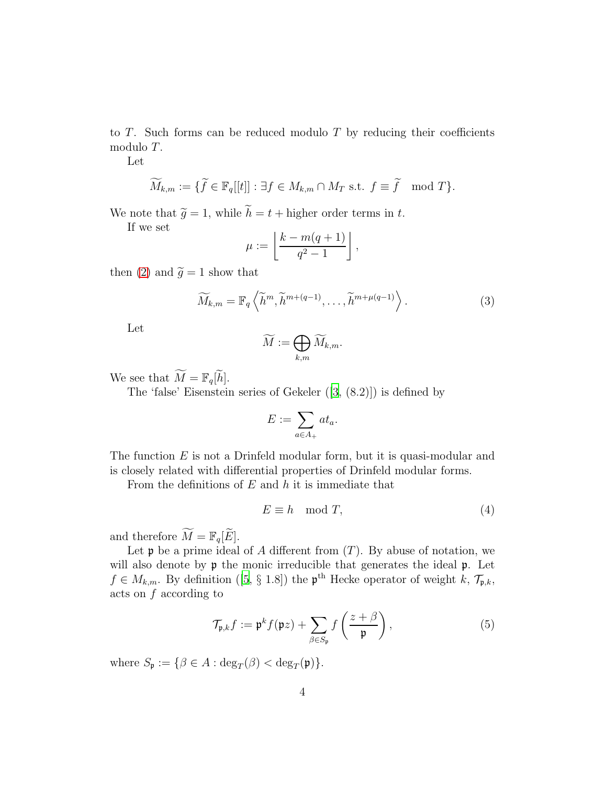to  $T$ . Such forms can be reduced modulo  $T$  by reducing their coefficients modulo T.

Let

$$
\widetilde{M}_{k,m} := \{ \widetilde{f} \in \mathbb{F}_q[[t]] : \exists f \in M_{k,m} \cap M_T \text{ s.t. } f \equiv \widetilde{f} \mod T \}.
$$

We note that  $\widetilde{g} = 1$ , while  $\widetilde{h} = t +$  higher order terms in t.

If we set

$$
\mu := \left\lfloor \frac{k - m(q+1)}{q^2 - 1} \right\rfloor,
$$

then [\(2\)](#page-2-0) and  $\widetilde{g} = 1$  show that

$$
\widetilde{M}_{k,m} = \mathbb{F}_q \left\langle \widetilde{h}^m, \widetilde{h}^{m+(q-1)}, \dots, \widetilde{h}^{m+\mu(q-1)} \right\rangle. \tag{3}
$$

Let

$$
\widetilde{M} := \bigoplus_{k,m} \widetilde{M}_{k,m}.
$$

We see that  $\widetilde{M} = \mathbb{F}_q[\widetilde{h}].$ 

The 'false' Eisenstein series of Gekeler([\[3,](#page-15-2) (8.2)]) is defined by

$$
E := \sum_{a \in A_+} at_a.
$$

The function  $E$  is not a Drinfeld modular form, but it is quasi-modular and is closely related with differential properties of Drinfeld modular forms.

From the definitions of  $E$  and  $h$  it is immediate that

<span id="page-3-0"></span>
$$
E \equiv h \mod T,\tag{4}
$$

and therefore  $\widetilde{M} = \mathbb{F}_q[\widetilde{E}].$ 

Let  $\mathfrak p$  be a prime ideal of A different from  $(T)$ . By abuse of notation, we will also denote by  $\mathfrak p$  the monic irreducible that generates the ideal  $\mathfrak p$ . Let  $f \in M_{k,m}$  $f \in M_{k,m}$  $f \in M_{k,m}$ . By definition ([\[5](#page-15-3), § 1.8]) the  $\mathfrak{p}^{\text{th}}$  Hecke operator of weight k,  $\mathcal{T}_{\mathfrak{p},k}$ , acts on f according to

<span id="page-3-1"></span>
$$
\mathcal{T}_{\mathfrak{p},k} f := \mathfrak{p}^k f(\mathfrak{p}z) + \sum_{\beta \in S_{\mathfrak{p}}} f\left(\frac{z+\beta}{\mathfrak{p}}\right),\tag{5}
$$

where  $S_{\mathfrak{p}} := \{ \beta \in A : \deg_T(\beta) < \deg_T(\mathfrak{p}) \}.$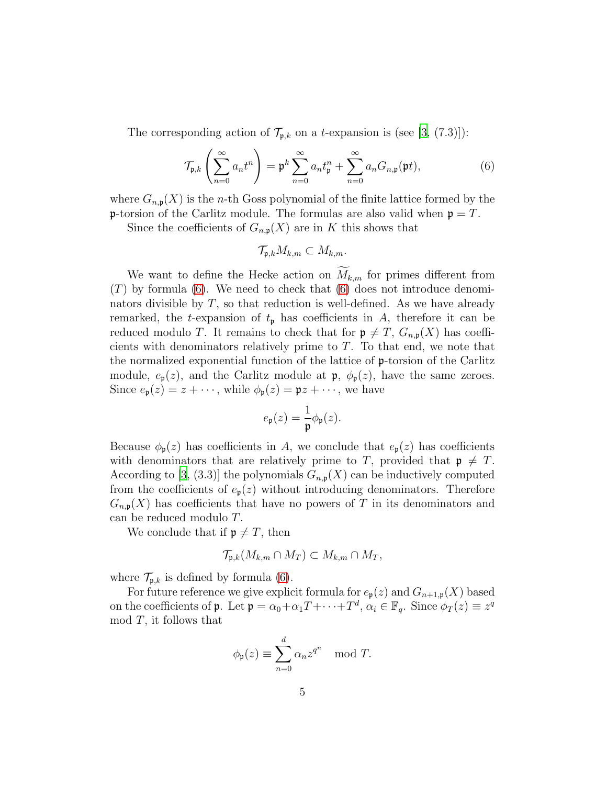The corresponding action of  $\mathcal{T}_{\mathfrak{p},k}$  on a t-expansion is (see [\[3,](#page-15-2) (7.3)]):

<span id="page-4-0"></span>
$$
\mathcal{T}_{\mathfrak{p},k}\left(\sum_{n=0}^{\infty} a_n t^n\right) = \mathfrak{p}^k \sum_{n=0}^{\infty} a_n t_{\mathfrak{p}}^n + \sum_{n=0}^{\infty} a_n G_{n,\mathfrak{p}}(\mathfrak{p} t),\tag{6}
$$

where  $G_{n,p}(X)$  is the *n*-th Goss polynomial of the finite lattice formed by the **p**-torsion of the Carlitz module. The formulas are also valid when  $p = T$ .

Since the coefficients of  $G_{n,p}(X)$  are in K this shows that

$$
\mathcal{T}_{\mathfrak{p},k} M_{k,m} \subset M_{k,m}.
$$

We want to define the Hecke action on  $\widetilde{M}_{k,m}$  for primes different from  $(T)$  by formula [\(6\)](#page-4-0). We need to check that (6) does not introduce denominators divisible by  $T$ , so that reduction is well-defined. As we have already remarked, the t-expansion of  $t_p$  has coefficients in A, therefore it can be reduced modulo T. It remains to check that for  $\mathfrak{p} \neq T$ ,  $G_{n,\mathfrak{p}}(X)$  has coefficients with denominators relatively prime to  $T$ . To that end, we note that the normalized exponential function of the lattice of p-torsion of the Carlitz module,  $e_p(z)$ , and the Carlitz module at  $\mathfrak{p}, \phi_p(z)$ , have the same zeroes. Since  $e_{\mathfrak{p}}(z) = z + \cdots$ , while  $\phi_{\mathfrak{p}}(z) = \mathfrak{p}z + \cdots$ , we have

$$
e_{\mathfrak{p}}(z) = \frac{1}{\mathfrak{p}} \phi_{\mathfrak{p}}(z).
$$

Because  $\phi_{p}(z)$  has coefficients in A, we conclude that  $e_{p}(z)$  has coefficients with denominators that are relatively prime to T, provided that  $\mathfrak{p} \neq T$ . According to [\[3,](#page-15-2) (3.3)] the polynomials  $G_{n,p}(X)$  can be inductively computed from the coefficients of  $e_p(z)$  without introducing denominators. Therefore  $G_{n,p}(X)$  has coefficients that have no powers of T in its denominators and can be reduced modulo T.

We conclude that if  $\mathfrak{p} \neq T$ , then

$$
\mathcal{T}_{\mathfrak{p},k}(M_{k,m}\cap M_T)\subset M_{k,m}\cap M_T,
$$

where  $\mathcal{T}_{\mathbf{p},k}$  is defined by formula [\(6\)](#page-4-0).

For future reference we give explicit formula for  $e_p(z)$  and  $G_{n+1,p}(X)$  based on the coefficients of  $\mathfrak{p}$ . Let  $\mathfrak{p} = \alpha_0 + \alpha_1 T + \cdots + T^d$ ,  $\alpha_i \in \mathbb{F}_q$ . Since  $\phi_T(z) \equiv z^q$  $mod T$ , it follows that

$$
\phi_{\mathfrak{p}}(z) \equiv \sum_{n=0}^{d} \alpha_n z^{q^n} \mod T.
$$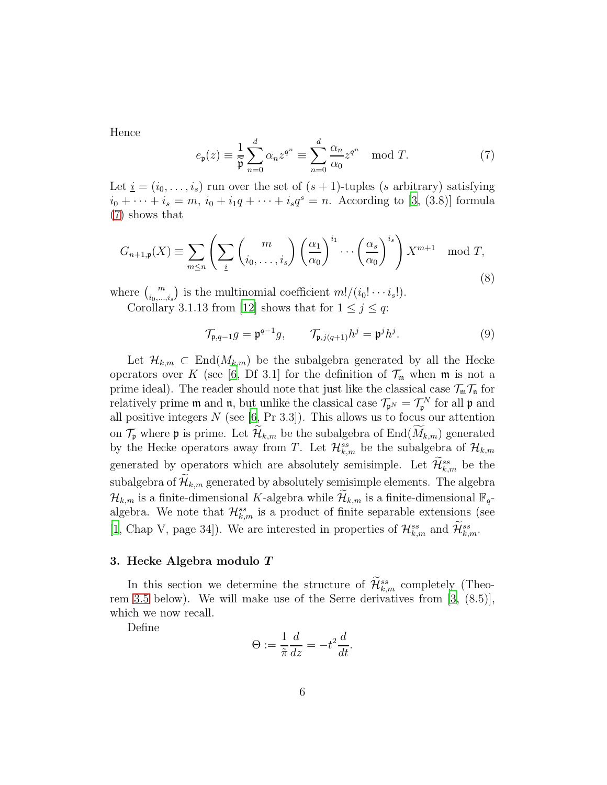Hence

<span id="page-5-1"></span>
$$
e_{\mathfrak{p}}(z) \equiv \frac{1}{\overline{\mathfrak{p}}} \sum_{n=0}^{d} \alpha_n z^{q^n} \equiv \sum_{n=0}^{d} \frac{\alpha_n}{\alpha_0} z^{q^n} \mod T.
$$
 (7)

Let  $i = (i_0, \ldots, i_s)$  run over the set of  $(s + 1)$ -tuples  $(s$  arbitrary) satisfying  $i_0 + \cdots + i_s = m, i_0 + i_1q + \cdots + i_sq^s = n.$  According to [\[3](#page-15-2), (3.8)] formula [\(7\)](#page-5-1) shows that

<span id="page-5-2"></span>
$$
G_{n+1,\mathfrak{p}}(X) \equiv \sum_{m \le n} \left( \sum_{\underline{i}} \binom{m}{i_0, \dots, i_s} \left( \frac{\alpha_1}{\alpha_0} \right)^{i_1} \cdots \left( \frac{\alpha_s}{\alpha_0} \right)^{i_s} \right) X^{m+1} \mod T,
$$
\n(8)

where  $\binom{m}{i_0,\dots,i_s}$  is the multinomial coefficient  $m!/(i_0!\cdots i_s!)$ .

Corollary 3.1.13 from [\[12\]](#page-16-4) shows that for  $1 \leq j \leq q$ :

<span id="page-5-0"></span>
$$
\mathcal{T}_{\mathfrak{p},q-1}g = \mathfrak{p}^{q-1}g, \qquad \mathcal{T}_{\mathfrak{p},j(q+1)}h^j = \mathfrak{p}^j h^j. \tag{9}
$$

Let  $\mathcal{H}_{k,m} \subset \text{End}(M_{k,m})$  be the subalgebra generated by all the Hecke operators over K (see [\[6,](#page-15-4) Df 3.1] for the definition of  $\mathcal{T}_{\mathfrak{m}}$  when  $\mathfrak{m}$  is not a prime ideal). The reader should note that just like the classical case  $\mathcal{T}_{m}\mathcal{T}_{n}$  for relatively prime  $\mathfrak m$  and  $\mathfrak n$ , but unlike the classical case  $\mathcal{T}_{\mathfrak p^N} = \mathcal{T}_{\mathfrak p}^N$  for all  $\mathfrak p$  and all positive integers  $N$  (see [\[6](#page-15-4), Pr 3.3]). This allows us to focus our attention on  $\mathcal{T}_{\mathfrak{p}}$  where  $\mathfrak{p}$  is prime. Let  $\widetilde{\mathcal{H}}_{k,m}$  be the subalgebra of End $(\widetilde{M}_{k,m})$  generated by the Hecke operators away from T. Let  $\mathcal{H}_{k,m}^{ss}$  be the subalgebra of  $\mathcal{H}_{k,m}$ generated by operators which are absolutely semisimple. Let  $\mathcal{H}_{k,m}^{ss}$  be the subalgebra of  $\mathcal{H}_{k,m}$  generated by absolutely semisimple elements. The algebra  $\mathcal{H}_{k,m}$  is a finite-dimensional K-algebra while  $\mathcal{H}_{k,m}$  is a finite-dimensional  $\mathbb{F}_q$ algebra. We note that  $\mathcal{H}_{k,m}^{ss}$  is a product of finite separable extensions (see [\[1](#page-15-5), Chap V, page 34]). We are interested in properties of  $\mathcal{H}_{k,m}^{ss}$  and  $\mathcal{H}_{k,m}^{ss}$ .

# 3. Hecke Algebra modulo T

In this section we determine the structure of  $\mathcal{H}_{k,m}^{ss}$  completely (Theorem [3.5](#page-8-0) below). We will make use of the Serre derivatives from [\[3](#page-15-2), (8.5)], which we now recall.

Define

$$
\Theta := \frac{1}{\tilde{\pi}} \frac{d}{dz} = -t^2 \frac{d}{dt}.
$$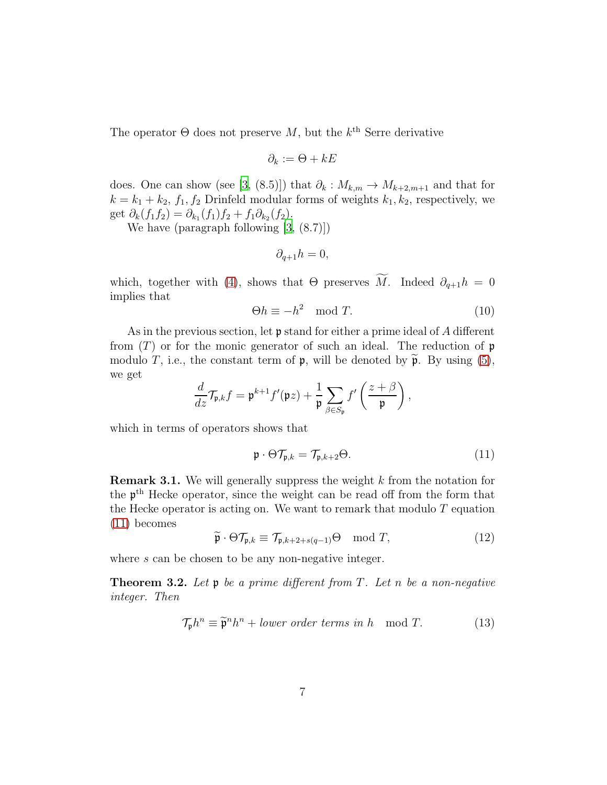The operator  $\Theta$  does not preserve M, but the  $k^{\text{th}}$  Serre derivative

$$
\partial_k := \Theta + kE
$$

does. One can show (see [\[3](#page-15-2), (8.5)]) that  $\partial_k : M_{k,m} \to M_{k+2,m+1}$  and that for  $k = k_1 + k_2$ ,  $f_1, f_2$  Drinfeld modular forms of weights  $k_1, k_2$ , respectively, we get  $\partial_k(f_1f_2) = \partial_{k_1}(f_1)f_2 + f_1\partial_{k_2}(f_2)$ .

We have (paragraph following [\[3,](#page-15-2) (8.7)])

$$
\partial_{q+1}h=0,
$$

which, together with [\(4\)](#page-3-0), shows that  $\Theta$  preserves  $\widetilde{M}$ . Indeed  $\partial_{q+1}h = 0$ implies that

<span id="page-6-2"></span>
$$
\Theta h \equiv -h^2 \mod T. \tag{10}
$$

As in the previous section, let  $\mathfrak p$  stand for either a prime ideal of A different from  $(T)$  or for the monic generator of such an ideal. The reduction of p modulo T, i.e., the constant term of  $\mathfrak{p}$ , will be denoted by  $\tilde{\mathfrak{p}}$ . By using [\(5\)](#page-3-1), we get

$$
\frac{d}{dz}\mathcal{T}_{\mathfrak{p},k}f = \mathfrak{p}^{k+1}f'(\mathfrak{p}z) + \frac{1}{\mathfrak{p}}\sum_{\beta\in S_{\mathfrak{p}}}f'\left(\frac{z+\beta}{\mathfrak{p}}\right),
$$

which in terms of operators shows that

<span id="page-6-0"></span>
$$
\mathfrak{p} \cdot \Theta \mathcal{T}_{\mathfrak{p},k} = \mathcal{T}_{\mathfrak{p},k+2} \Theta. \tag{11}
$$

**Remark 3.1.** We will generally suppress the weight  $k$  from the notation for the p th Hecke operator, since the weight can be read off from the form that the Hecke operator is acting on. We want to remark that modulo  $T$  equation [\(11\)](#page-6-0) becomes

<span id="page-6-1"></span>
$$
\widetilde{\mathfrak{p}} \cdot \Theta \mathcal{T}_{\mathfrak{p},k} \equiv \mathcal{T}_{\mathfrak{p},k+2+s(q-1)} \Theta \mod T,\tag{12}
$$

where s can be chosen to be any non-negative integer.

<span id="page-6-3"></span>**Theorem 3.2.** Let  $\mathfrak{p}$  be a prime different from T. Let n be a non-negative integer. Then

$$
\mathcal{T}_{\mathfrak{p}}h^n \equiv \widetilde{\mathfrak{p}}^n h^n + lower\ order\ terms\ in\ h \mod T. \tag{13}
$$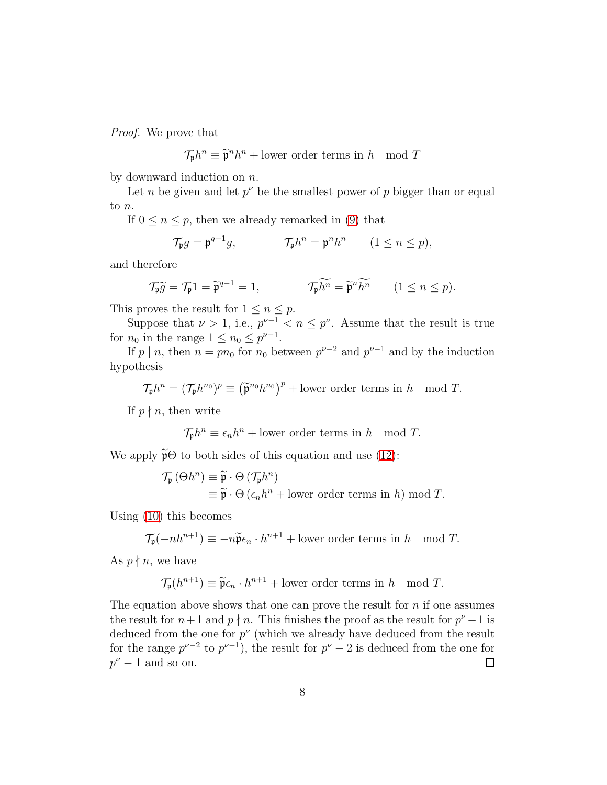Proof. We prove that

$$
\mathcal{T}_{\mathfrak{p}} h^n \equiv \widetilde{\mathfrak{p}}^n h^n + \text{lower order terms in } h \mod T
$$

by downward induction on  $n$ .

Let *n* be given and let  $p^{\nu}$  be the smallest power of *p* bigger than or equal to n.

If  $0 \le n \le p$ , then we already remarked in [\(9\)](#page-5-0) that

$$
\mathcal{T}_{\mathfrak{p}}g = \mathfrak{p}^{q-1}g, \qquad \qquad \mathcal{T}_{\mathfrak{p}}h^n = \mathfrak{p}^n h^n \qquad (1 \le n \le p),
$$

and therefore

$$
\mathcal{T}_{\mathfrak{p}}\widetilde{g} = \mathcal{T}_{\mathfrak{p}}1 = \widetilde{\mathfrak{p}}^{q-1} = 1, \qquad \qquad \mathcal{T}_{\mathfrak{p}}\widetilde{h^n} = \widetilde{\mathfrak{p}}^n\widetilde{h^n} \qquad (1 \le n \le p).
$$

This proves the result for  $1 \leq n \leq p$ .

Suppose that  $\nu > 1$ , i.e.,  $p^{\nu-1} < n \leq p^{\nu}$ . Assume that the result is true for  $n_0$  in the range  $1 \leq n_0 \leq p^{\nu-1}$ .

If  $p \mid n$ , then  $n = pn_0$  for  $n_0$  between  $p^{\nu-2}$  and  $p^{\nu-1}$  and by the induction hypothesis

 $\mathcal{T}_{\mathfrak{p}}h^n = (\mathcal{T}_{\mathfrak{p}}h^{n_0})^p \equiv (\widetilde{\mathfrak{p}}^{n_0}h^{n_0})^p + \text{lower order terms in } h \mod T.$ 

If  $p \nmid n$ , then write

$$
\mathcal{T}_{\mathfrak{p}} h^n \equiv \epsilon_n h^n + \text{lower order terms in } h \mod T.
$$

We apply  $\widetilde{\mathfrak{p}}\Theta$  to both sides of this equation and use [\(12\)](#page-6-1):

$$
\mathcal{T}_{\mathfrak{p}}(\Theta h^{n}) \equiv \widetilde{\mathfrak{p}} \cdot \Theta \left( \mathcal{T}_{\mathfrak{p}} h^{n} \right)
$$
  

$$
\equiv \widetilde{\mathfrak{p}} \cdot \Theta \left( \epsilon_{n} h^{n} + \text{lower order terms in } h \right) \bmod T.
$$

Using [\(10\)](#page-6-2) this becomes

$$
\mathcal{T}_{\mathfrak{p}}(-nh^{n+1}) \equiv -n\widetilde{\mathfrak{p}}\epsilon_n \cdot h^{n+1} + \text{lower order terms in } h \mod T.
$$

As  $p \nmid n$ , we have

$$
\mathcal{T}_{\mathfrak{p}}(h^{n+1}) \equiv \widetilde{\mathfrak{p}} \epsilon_n \cdot h^{n+1} + \text{lower order terms in } h \mod T.
$$

The equation above shows that one can prove the result for  $n$  if one assumes the result for  $n+1$  and  $p \nmid n$ . This finishes the proof as the result for  $p^{\nu}-1$  is deduced from the one for  $p^{\nu}$  (which we already have deduced from the result for the range  $p^{\nu-2}$  to  $p^{\nu-1}$ , the result for  $p^{\nu}-2$  is deduced from the one for  $p^{\nu}-1$  and so on.  $\Box$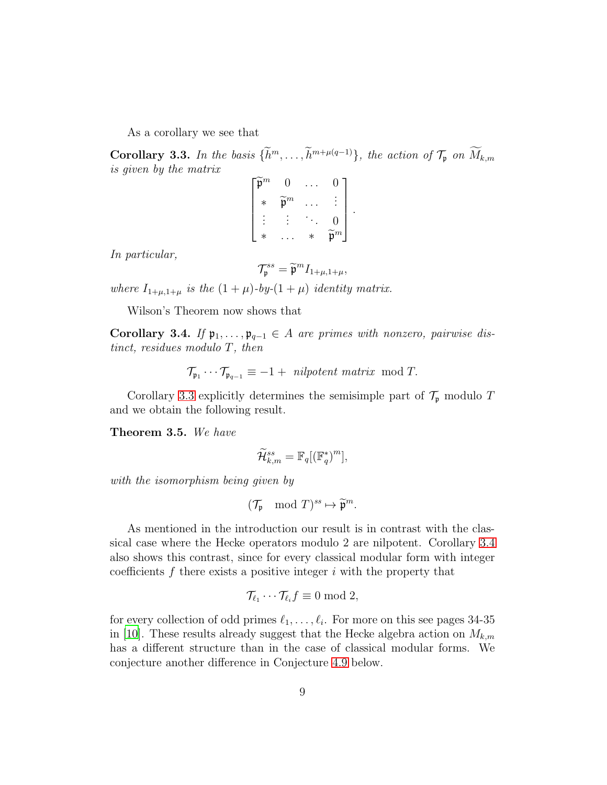As a corollary we see that

<span id="page-8-1"></span>Corollary 3.3. In the basis  $\{h^m,\ldots,h^{m+\mu(q-1)}\}$ , the action of  $\mathcal{T}_{\mathfrak{p}}$  on  $M_{k,m}$ is given by the matrix

> $\sqrt{ }$   $\widetilde{\mathfrak{p}}^m \quad 0 \quad \dots \quad 0$  $* \quad \widetilde{\mathfrak{p}}^m \quad \dots \quad \vdots$  $\vdots$   $\vdots$   $\ddots$  0 \* ... \*  $\widetilde{\mathfrak{p}}^m$ 1

.

In particular,

$$
\mathcal{T}_{\mathfrak{p}}^{ss} = \widetilde{\mathfrak{p}}^m I_{1+\mu,1+\mu},
$$

where  $I_{1+\mu,1+\mu}$  is the  $(1+\mu)$ -by- $(1+\mu)$  identity matrix.

Wilson's Theorem now shows that

<span id="page-8-2"></span>Corollary 3.4. If  $\mathfrak{p}_1, \ldots, \mathfrak{p}_{q-1} \in A$  are primes with nonzero, pairwise distinct, residues modulo T, then

 $\mathcal{T}_{\mathfrak{p}_1} \cdots \mathcal{T}_{\mathfrak{p}_{q-1}} \equiv -1 + \text{ nilpotent matrix mod } T.$ 

Corollary [3.3](#page-8-1) explicitly determines the semisimple part of  $\mathcal{T}_{\mathfrak{p}}$  modulo T and we obtain the following result.

<span id="page-8-0"></span>Theorem 3.5. We have

$$
\widetilde{\mathcal{H}}^{ss}_{k,m}=\mathbb{F}_q[(\mathbb{F}_q^*)^m],
$$

with the isomorphism being given by

$$
(\mathcal{T}_{\mathfrak{p}}\mod T)^{ss}\mapsto \widetilde{\mathfrak{p}}^m.
$$

As mentioned in the introduction our result is in contrast with the classical case where the Hecke operators modulo 2 are nilpotent. Corollary [3.4](#page-8-2) also shows this contrast, since for every classical modular form with integer coefficients  $f$  there exists a positive integer  $i$  with the property that

$$
\mathcal{T}_{\ell_1}\cdots\mathcal{T}_{\ell_i}f\equiv 0 \bmod 2,
$$

for every collection of odd primes  $\ell_1, \ldots, \ell_i$ . For more on this see pages 34-35 in [\[10](#page-16-1)]. These results already suggest that the Hecke algebra action on  $M_{k,m}$ has a different structure than in the case of classical modular forms. We conjecture another difference in Conjecture [4.9](#page-14-0) below.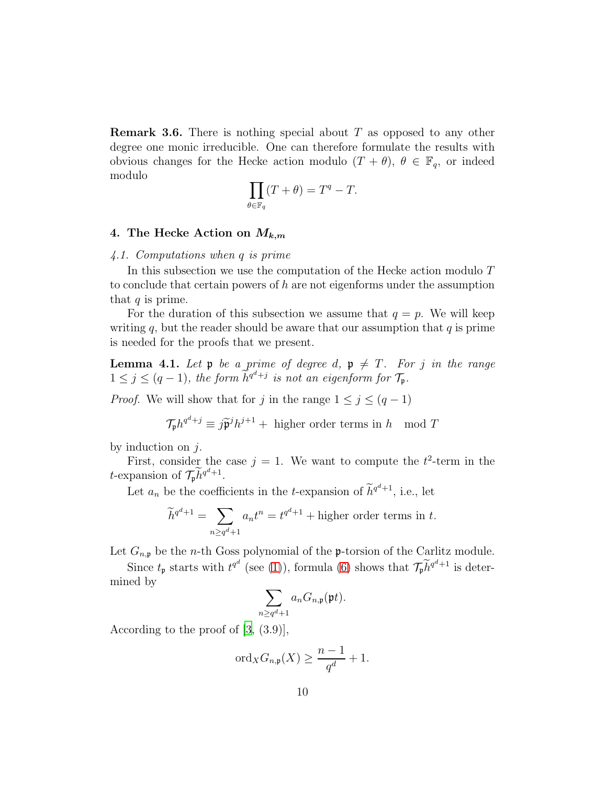<span id="page-9-0"></span>**Remark 3.6.** There is nothing special about  $T$  as opposed to any other degree one monic irreducible. One can therefore formulate the results with obvious changes for the Hecke action modulo  $(T + \theta)$ ,  $\theta \in \mathbb{F}_q$ , or indeed modulo

$$
\prod_{\theta \in \mathbb{F}_q} (T + \theta) = T^q - T.
$$

# <span id="page-9-1"></span>4. The Hecke Action on  $M_{k,m}$

## 4.1. Computations when q is prime

In this subsection we use the computation of the Hecke action modulo T to conclude that certain powers of h are not eigenforms under the assumption that  $q$  is prime.

For the duration of this subsection we assume that  $q = p$ . We will keep writing  $q$ , but the reader should be aware that our assumption that  $q$  is prime is needed for the proofs that we present.

<span id="page-9-2"></span>**Lemma 4.1.** Let  $\mathfrak{p}$  be a prime of degree d,  $\mathfrak{p} \neq T$ . For j in the range  $1 \leq j \leq (q-1)$ , the form  $\widetilde{h}^{q^d+j}$  is not an eigenform for  $\mathcal{T}_{\mathfrak{p}}$ .

*Proof.* We will show that for j in the range  $1 \leq j \leq (q-1)$ 

$$
\mathcal{T}_{\mathfrak{p}} h^{q^d+j} \equiv j \widetilde{\mathfrak{p}}^j h^{j+1} + \text{ higher order terms in } h \mod T
$$

by induction on  $j$ .

First, consider the case  $j = 1$ . We want to compute the  $t^2$ -term in the *t*-expansion of  $\mathcal{T}_{\mathfrak{p}} \widetilde{h}^{q^d+1}$ .

Let  $a_n$  be the coefficients in the *t*-expansion of  $\widetilde{h}^{q^d+1}$ , i.e., let

$$
\widetilde{h}^{q^d+1} = \sum_{n \ge q^d+1} a_n t^n = t^{q^d+1} + \text{higher order terms in } t.
$$

Let  $G_{n,p}$  be the *n*-th Goss polynomial of the **p**-torsion of the Carlitz module.

Since  $t_{\mathfrak{p}}$  starts with  $t^{q^d}$  (see [\(1\)](#page-2-1)), formula [\(6\)](#page-4-0) shows that  $\mathcal{T}_{\mathfrak{p}} \widetilde{h}^{q^d+1}$  is determined by

$$
\sum_{n\geq q^d+1} a_n G_{n,\mathfrak{p}}(\mathfrak{p} t).
$$

According to the proof of [\[3,](#page-15-2) (3.9)],

$$
\mathrm{ord}_X G_{n,\mathfrak{p}}(X) \ge \frac{n-1}{q^d} + 1.
$$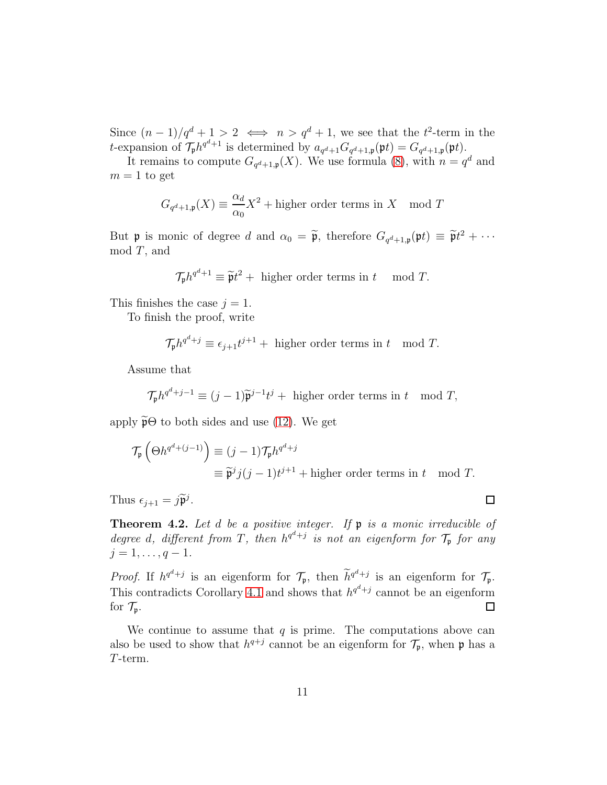Since  $(n-1)/q^d+1>2 \iff n>q^d+1$ , we see that the  $t^2$ -term in the t-expansion of  $\mathcal{T}_{\mathfrak{p}} h^{q^d+1}$  is determined by  $a_{q^d+1} G_{q^d+1,\mathfrak{p}}(\mathfrak{p} t) = G_{q^d+1,\mathfrak{p}}(\mathfrak{p} t)$ .

It remains to compute  $G_{q^d+1,p}(X)$ . We use formula [\(8\)](#page-5-2), with  $n=q^d$  and  $m = 1$  to get

$$
G_{q^d+1,p}(X) \equiv \frac{\alpha_d}{\alpha_0} X^2 + \text{higher order terms in } X \mod T
$$

But **p** is monic of degree d and  $\alpha_0 = \tilde{\mathfrak{p}}$ , therefore  $G_{q^d+1,\mathfrak{p}}(\mathfrak{p}t) \equiv \tilde{\mathfrak{p}}t^2 + \cdots$  $mod T$ , and

$$
\mathcal{T}_{\mathfrak{p}} h^{q^d+1} \equiv \widetilde{\mathfrak{p}} t^2 + \text{ higher order terms in } t \mod T.
$$

This finishes the case  $j = 1$ .

To finish the proof, write

$$
\mathcal{T}_{\mathfrak{p}} h^{q^d+j} \equiv \epsilon_{j+1} t^{j+1} + \text{ higher order terms in } t \mod T.
$$

Assume that

$$
\mathcal{T}_{\mathfrak{p}} h^{q^d+j-1} \equiv (j-1)\widetilde{\mathfrak{p}}^{j-1} t^j + \text{ higher order terms in } t \mod T,
$$

apply  $\widetilde{\mathfrak{p}}\Theta$  to both sides and use [\(12\)](#page-6-1). We get

$$
\mathcal{T}_{\mathfrak{p}}\left(\Theta h^{q^d + (j-1)}\right) \equiv (j-1)\mathcal{T}_{\mathfrak{p}} h^{q^d + j}
$$
  

$$
\equiv \widetilde{\mathfrak{p}}^j j(j-1)t^{j+1} + \text{higher order terms in } t \mod T.
$$

Thus  $\epsilon_{j+1} = j \widetilde{\mathfrak{p}}^j$ .

**Theorem 4.2.** Let d be a positive integer. If  $\mathfrak p$  is a monic irreducible of degree d, different from T, then  $h^{q^d+j}$  is not an eigenform for  $\mathcal{T}_\mathfrak{p}$  for any  $j = 1, \ldots, q - 1.$ 

*Proof.* If  $h^{q^d+j}$  is an eigenform for  $\mathcal{T}_{\mathfrak{p}}$ , then  $\widetilde{h}^{q^d+j}$  is an eigenform for  $\mathcal{T}_{\mathfrak{p}}$ . This contradicts Corollary [4.1](#page-9-2) and shows that  $h^{q^d+j}$  cannot be an eigenform for  $\mathcal{T}_{\mathfrak{p}}$ .  $\Box$ 

We continue to assume that  $q$  is prime. The computations above can also be used to show that  $h^{q+j}$  cannot be an eigenform for  $\mathcal{T}_{\mathfrak{p}}$ , when  $\mathfrak{p}$  has a T-term.

 $\Box$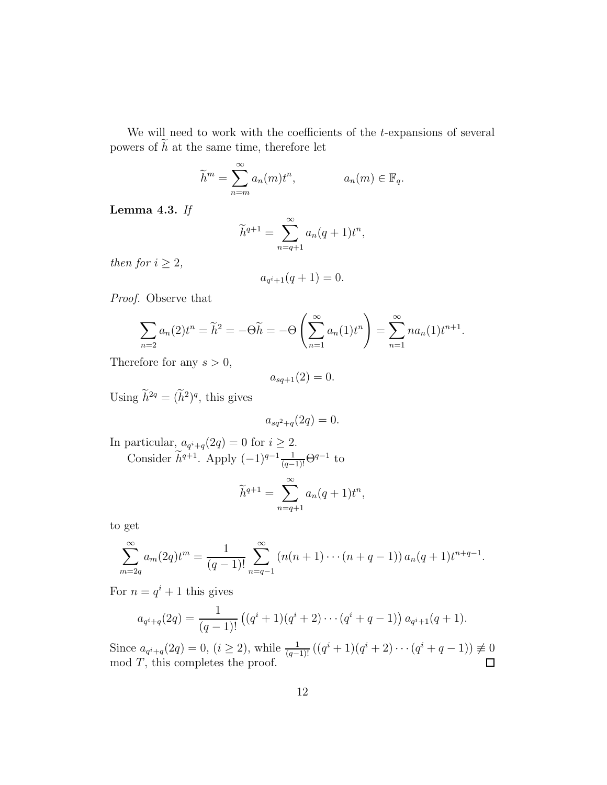We will need to work with the coefficients of the  $t$ -expansions of several powers of  $h$  at the same time, therefore let

$$
\widetilde{h}^m = \sum_{n=m}^{\infty} a_n(m) t^n, \qquad a_n(m) \in \mathbb{F}_q.
$$

Lemma 4.3. If

$$
\widetilde{h}^{q+1} = \sum_{n=q+1}^{\infty} a_n (q+1) t^n,
$$

then for  $i \geq 2$ ,

$$
a_{q^i+1}(q+1) = 0.
$$

Proof. Observe that

$$
\sum_{n=2} a_n(2)t^n = \widetilde{h}^2 = -\Theta \widetilde{h} = -\Theta \left(\sum_{n=1}^{\infty} a_n(1)t^n\right) = \sum_{n=1}^{\infty} na_n(1)t^{n+1}.
$$

Therefore for any  $s > 0$ ,

$$
a_{sq+1}(2)=0.
$$

Using  $\hat{h}^{2q} = (\hat{h}^2)^q$ , this gives

$$
a_{sq^2+q}(2q) = 0.
$$

In particular, 
$$
a_{q^i+q}(2q) = 0
$$
 for  $i \ge 2$ .  
Consider  $\tilde{h}^{q+1}$ . Apply  $(-1)^{q-1} \frac{1}{(q-1)!} \Theta^{q-1}$  to

$$
\widetilde{h}^{q+1} = \sum_{n=q+1}^{\infty} a_n (q+1) t^n,
$$

to get

$$
\sum_{m=2q}^{\infty} a_m(2q)t^m = \frac{1}{(q-1)!} \sum_{n=q-1}^{\infty} (n(n+1)\cdots(n+q-1)) a_n(q+1)t^{n+q-1}.
$$

For  $n = q^i + 1$  this gives

$$
a_{q^i+q}(2q) = \frac{1}{(q-1)!} ((q^i+1)(q^i+2)\cdots(q^i+q-1)) a_{q^i+1}(q+1).
$$

Since  $a_{q^i+q}(2q) = 0$ ,  $(i \geq 2)$ , while  $\frac{1}{(q-1)!}((q^i+1)(q^i+2)\cdots(q^i+q-1)) \not\equiv 0$  $mod T$ , this completes the proof.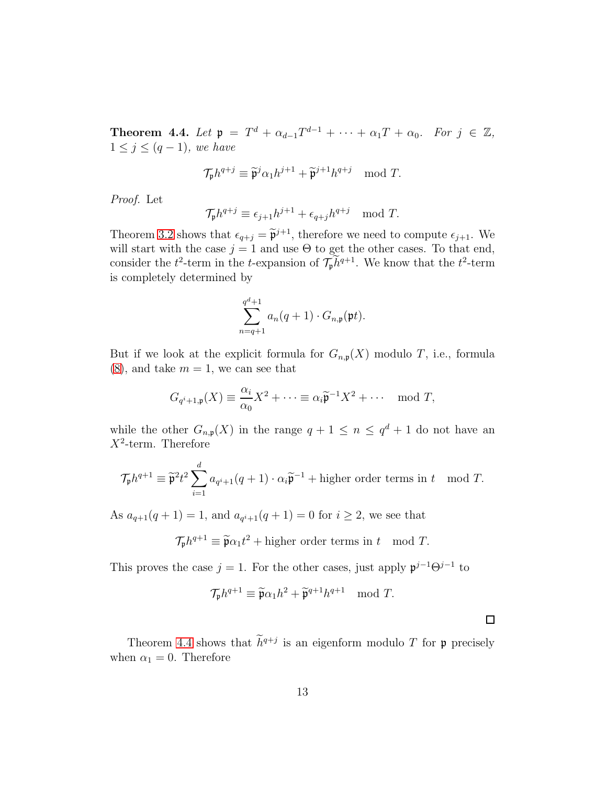<span id="page-12-0"></span>**Theorem 4.4.** Let  $\mathfrak{p} = T^d + \alpha_{d-1} T^{d-1} + \cdots + \alpha_1 T + \alpha_0$ . For  $j \in \mathbb{Z}$ ,  $1 \leq j \leq (q-1)$ , we have

$$
\mathcal{T}_{\mathfrak{p}} h^{q+j} \equiv \widetilde{\mathfrak{p}}^j \alpha_1 h^{j+1} + \widetilde{\mathfrak{p}}^{j+1} h^{q+j} \mod T.
$$

Proof. Let

$$
\mathcal{T}_{\mathfrak{p}} h^{q+j} \equiv \epsilon_{j+1} h^{j+1} + \epsilon_{q+j} h^{q+j} \mod T.
$$

Theorem [3.2](#page-6-3) shows that  $\epsilon_{q+j} = \tilde{\mathfrak{p}}^{j+1}$ , therefore we need to compute  $\epsilon_{j+1}$ . We will start with the case  $j = 1$  and use  $\Theta$  to get the other cases. To that end, consider the  $t^2$ -term in the t-expansion of  $\mathcal{T}_p h^{q+1}$ . We know that the  $t^2$ -term is completely determined by

$$
\sum_{n=q+1}^{q^d+1} a_n(q+1) \cdot G_{n,\mathfrak{p}}(\mathfrak{p} t).
$$

But if we look at the explicit formula for  $G_{n,p}(X)$  modulo T, i.e., formula  $(8)$ , and take  $m = 1$ , we can see that

$$
G_{q^i+1,\mathfrak{p}}(X) \equiv \frac{\alpha_i}{\alpha_0} X^2 + \dots \equiv \alpha_i \widetilde{\mathfrak{p}}^{-1} X^2 + \dots \mod T,
$$

while the other  $G_{n,p}(X)$  in the range  $q+1 \leq n \leq q^d+1$  do not have an  $X^2$ -term. Therefore

$$
\mathcal{T}_{\mathfrak{p}} h^{q+1} \equiv \widetilde{\mathfrak{p}}^2 t^2 \sum_{i=1}^d a_{q^i+1}(q+1) \cdot \alpha_i \widetilde{\mathfrak{p}}^{-1} + \text{higher order terms in } t \mod T.
$$

As  $a_{q+1}(q+1) = 1$ , and  $a_{q+1}(q+1) = 0$  for  $i \geq 2$ , we see that

 $\mathcal{T}_{\mathfrak{p}} h^{q+1} \equiv \widetilde{\mathfrak{p}} \alpha_1 t^2 + \text{higher order terms in } t \mod T.$ 

This proves the case  $j = 1$ . For the other cases, just apply  $\mathfrak{p}^{j-1}\Theta^{j-1}$  to

$$
\mathcal{T}_{\mathfrak{p}} h^{q+1} \equiv \widetilde{\mathfrak{p}} \alpha_1 h^2 + \widetilde{\mathfrak{p}}^{q+1} h^{q+1} \mod T.
$$

 $\Box$ 

Theorem [4.4](#page-12-0) shows that  $\tilde{h}^{q+j}$  is an eigenform modulo T for p precisely when  $\alpha_1 = 0$ . Therefore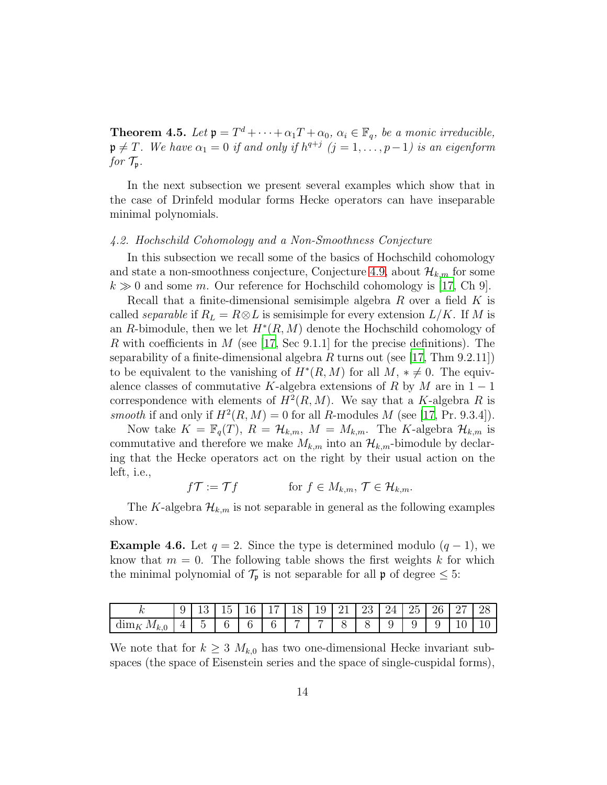**Theorem 4.5.** Let  $\mathfrak{p} = T^d + \cdots + \alpha_1 T + \alpha_0$ ,  $\alpha_i \in \mathbb{F}_q$ , be a monic irreducible,  $\mathfrak{p} \neq T$ . We have  $\alpha_1 = 0$  if and only if  $h^{q+j}$   $(j = 1, \ldots, p-1)$  is an eigenform for  $\mathcal{T}_{\mathfrak{p}}$ .

In the next subsection we present several examples which show that in the case of Drinfeld modular forms Hecke operators can have inseparable minimal polynomials.

## 4.2. Hochschild Cohomology and a Non-Smoothness Conjecture

In this subsection we recall some of the basics of Hochschild cohomology and state a non-smoothness conjecture, Conjecture [4.9,](#page-14-0) about  $\mathcal{H}_{k,m}$  for some  $k \gg 0$  and some m. Our reference for Hochschild cohomology is [\[17,](#page-16-5) Ch 9].

Recall that a finite-dimensional semisimple algebra  $R$  over a field  $K$  is called *separable* if  $R_L = R \otimes L$  is semisimple for every extension  $L/K$ . If M is an R-bimodule, then we let  $H^*(R,M)$  denote the Hochschild cohomology of R with coefficients in M (see [\[17](#page-16-5), Sec 9.1.1] for the precise definitions). The separability of a finite-dimensional algebra R turns out (see [\[17,](#page-16-5) Thm 9.2.11]) to be equivalent to the vanishing of  $H^*(R, M)$  for all  $M, * \neq 0$ . The equivalence classes of commutative K-algebra extensions of R by M are in  $1 - 1$ correspondence with elements of  $H^2(R, M)$ . We say that a K-algebra R is smooth if and only if  $H^2(R, M) = 0$  for all R-modules M (see [\[17,](#page-16-5) Pr. 9.3.4]).

Now take  $K = \mathbb{F}_q(T)$ ,  $R = \mathcal{H}_{k,m}$ ,  $M = M_{k,m}$ . The K-algebra  $\mathcal{H}_{k,m}$  is commutative and therefore we make  $M_{k,m}$  into an  $\mathcal{H}_{k,m}$ -bimodule by declaring that the Hecke operators act on the right by their usual action on the left, i.e.,

 $f\mathcal{T} := \mathcal{T} f$  for  $f \in M_{k,m}, \mathcal{T} \in \mathcal{H}_{k,m}.$ 

The K-algebra  $\mathcal{H}_{k,m}$  is not separable in general as the following examples show.

**Example 4.6.** Let  $q = 2$ . Since the type is determined modulo  $(q - 1)$ , we know that  $m = 0$ . The following table shows the first weights k for which the minimal polynomial of  $\mathcal{T}_{\mathfrak{p}}$  is not separable for all  $\mathfrak{p}$  of degree  $\leq 5$ :

| $\mathbf{v}$                         | ◡ |            | -<br>$\mathsf{L}^{\mathsf{L}}$ | 16 | - | $18 \mid 19 \mid 21 \mid 23 \mid$ |  | - 24<br>_ _   | 25 <sub>1</sub> | 26   27 |    | 28             |
|--------------------------------------|---|------------|--------------------------------|----|---|-----------------------------------|--|---------------|-----------------|---------|----|----------------|
| $\cdot$ $M_{k,\text{t}}$<br>$\dim_K$ |   | $\tilde{}$ |                                |    |   |                                   |  | <u>u</u><br>ັ |                 | u       | 10 | 1 <sub>0</sub> |

We note that for  $k \geq 3$   $M_{k,0}$  has two one-dimensional Hecke invariant subspaces (the space of Eisenstein series and the space of single-cuspidal forms),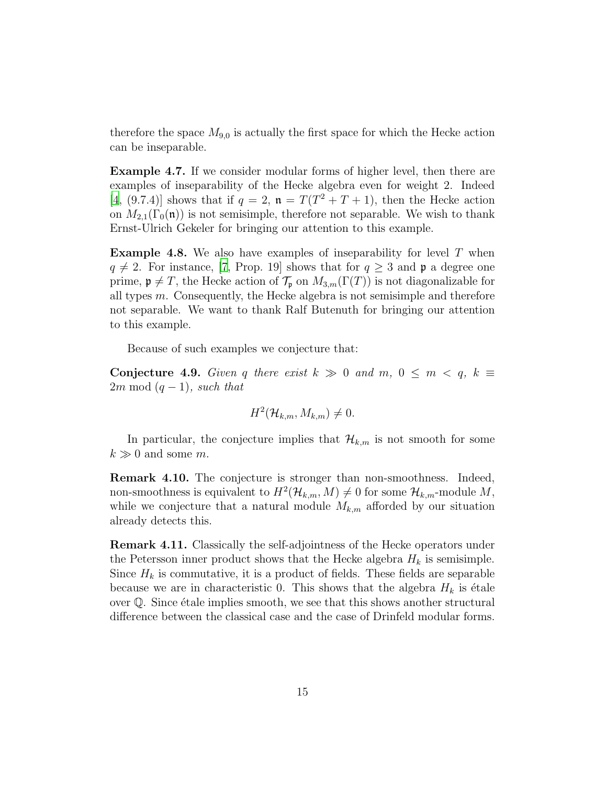therefore the space  $M_{9,0}$  is actually the first space for which the Hecke action can be inseparable.

Example 4.7. If we consider modular forms of higher level, then there are examples of inseparability of the Hecke algebra even for weight 2. Indeed [\[4,](#page-15-6) (9.7.4)] shows that if  $q = 2$ ,  $\mathfrak{n} = T(T^2 + T + 1)$ , then the Hecke action on  $M_{2,1}(\Gamma_0(\mathfrak{n}))$  is not semisimple, therefore not separable. We wish to thank Ernst-Ulrich Gekeler for bringing our attention to this example.

**Example 4.8.** We also have examples of inseparability for level  $T$  when  $q \neq 2$ . For instance, [\[7,](#page-15-7) Prop. 19] shows that for  $q \geq 3$  and p a degree one prime,  $\mathfrak{p} \neq T$ , the Hecke action of  $\mathcal{T}_{\mathfrak{p}}$  on  $M_{3,m}(\Gamma(T))$  is not diagonalizable for all types m. Consequently, the Hecke algebra is not semisimple and therefore not separable. We want to thank Ralf Butenuth for bringing our attention to this example.

Because of such examples we conjecture that:

<span id="page-14-0"></span>Conjecture 4.9. Given q there exist  $k \gg 0$  and  $m, 0 \leq m < q, k \equiv$  $2m \mod (q-1)$ , such that

$$
H^2(\mathcal{H}_{k,m}, M_{k,m}) \neq 0.
$$

In particular, the conjecture implies that  $\mathcal{H}_{k,m}$  is not smooth for some  $k \gg 0$  and some m.

Remark 4.10. The conjecture is stronger than non-smoothness. Indeed, non-smoothness is equivalent to  $H^2(\mathcal{H}_{k,m}, M) \neq 0$  for some  $\mathcal{H}_{k,m}$ -module  $M$ , while we conjecture that a natural module  $M_{k,m}$  afforded by our situation already detects this.

Remark 4.11. Classically the self-adjointness of the Hecke operators under the Petersson inner product shows that the Hecke algebra  $H_k$  is semisimple. Since  $H_k$  is commutative, it is a product of fields. These fields are separable because we are in characteristic 0. This shows that the algebra  $H_k$  is étale over  $\mathbb{Q}$ . Since étale implies smooth, we see that this shows another structural difference between the classical case and the case of Drinfeld modular forms.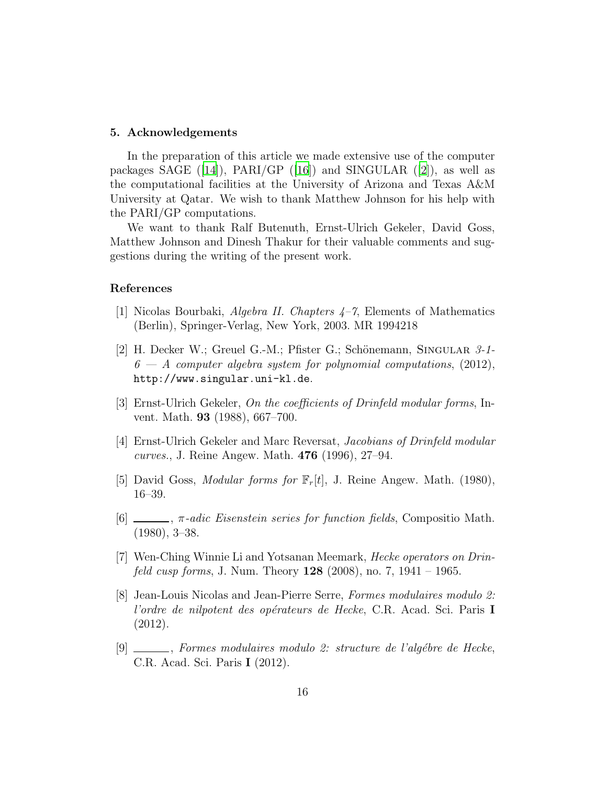#### 5. Acknowledgements

In the preparation of this article we made extensive use of the computer packagesSAGE ([\[14\]](#page-16-6)), PARI/GP ([\[16\]](#page-16-7)) and SINGULAR ([\[2\]](#page-15-8)), as well as the computational facilities at the University of Arizona and Texas A&M University at Qatar. We wish to thank Matthew Johnson for his help with the PARI/GP computations.

We want to thank Ralf Butenuth, Ernst-Ulrich Gekeler, David Goss, Matthew Johnson and Dinesh Thakur for their valuable comments and suggestions during the writing of the present work.

## References

- <span id="page-15-5"></span>[1] Nicolas Bourbaki, *Algebra II. Chapters*  $4-7$ , Elements of Mathematics (Berlin), Springer-Verlag, New York, 2003. MR 1994218
- <span id="page-15-8"></span>[2] H. Decker W.; Greuel G.-M.; Pfister G.; Schönemann, SINGULAR  $3$ -1- $6 - A$  computer algebra system for polynomial computations, (2012), http://www.singular.uni-kl.de.
- <span id="page-15-2"></span>[3] Ernst-Ulrich Gekeler, On the coefficients of Drinfeld modular forms, Invent. Math. 93 (1988), 667–700.
- <span id="page-15-6"></span>[4] Ernst-Ulrich Gekeler and Marc Reversat, Jacobians of Drinfeld modular curves., J. Reine Angew. Math. 476 (1996), 27–94.
- <span id="page-15-3"></span>[5] David Goss, *Modular forms for*  $\mathbb{F}_r[t]$ , J. Reine Angew. Math. (1980), 16–39.
- <span id="page-15-4"></span> $[6]$  ,  $\pi$ -adic Eisenstein series for function fields, Compositio Math. (1980), 3–38.
- <span id="page-15-7"></span>[7] Wen-Ching Winnie Li and Yotsanan Meemark, Hecke operators on Drin*feld cusp forms*, J. Num. Theory  $128$  (2008), no. 7, 1941 – 1965.
- <span id="page-15-0"></span>[8] Jean-Louis Nicolas and Jean-Pierre Serre, Formes modulaires modulo 2: l'ordre de nilpotent des opérateurs de Hecke, C.R. Acad. Sci. Paris I (2012).
- <span id="page-15-1"></span> $[9]$  , Formes modulaires modulo 2: structure de l'algébre de Hecke, C.R. Acad. Sci. Paris I (2012).